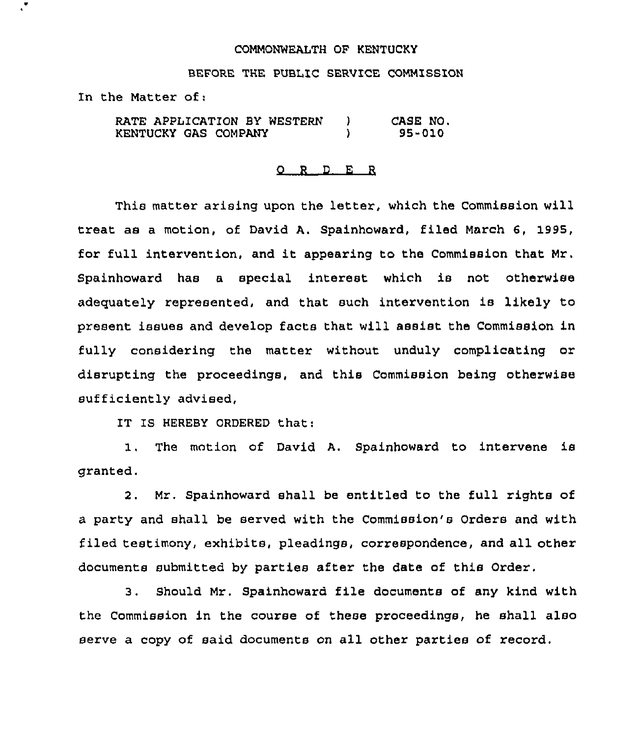## COMMONWEALTH OF KENTUCKY

BEFORE THE PUBLIC SERVICE COMMISSION

In the Matter of:

RATE APPLICATION BY WESTERN ) KENTUCKY GAS COMPANY ) CASE NO. 95-010

## 0 <sup>R</sup> <sup>D</sup> E <sup>R</sup>

This matter arising upon the letter, which the Commission will treat as a motion, of David A. Spainhoward, filed March 6, 1995, for full intervention, and it appearing to the Commission that Mr. Spainhoward has a special interest which is not otherwise adequately represented, and that such intervention is likely to present issues and develop facts that will assist the Commission in fully considering the matter without unduly complicating or disrupting the proceedings, and this Commission being otherwise sufficiently advised,

IT IS HEREBY ORDERED that:

1, The motion of David A, Spainhoward to intervene is granted.

2. Mr. Spainhoward shall be entitled to the full rights of a party and shall be served with the Commission's Orders and with filed testimony, exhibits, pleadings, correspondence, and all other documents submitted by parties after the date of this Order.

3. Should Mr. Spainhoward file documents of any kind with the Commission in the course of these proceedings, he shall also serve a copy of said documents on all other parties of record.